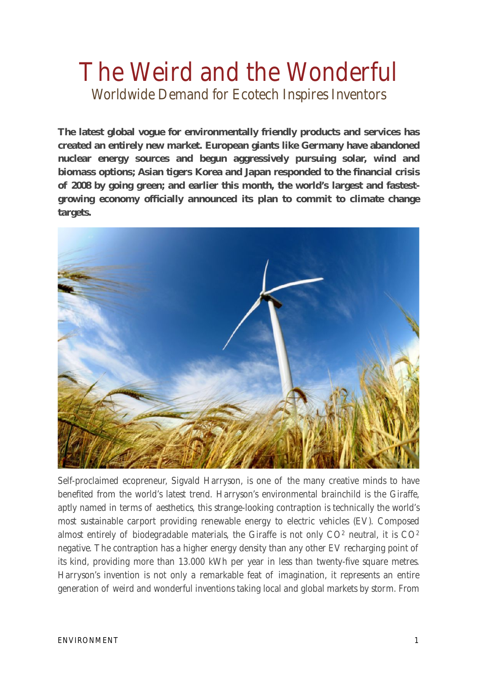## The Weird and the Wonderful Worldwide Demand for Ecotech Inspires Inventors

**The latest global vogue for environmentally friendly products and services has created an entirely new market. European giants like Germany have abandoned nuclear energy sources and begun aggressively pursuing solar, wind and biomass options; Asian tigers Korea and Japan responded to the financial crisis of 2008 by going green; and earlier this month, the world's largest and fastestgrowing economy officially announced its plan to commit to climate change targets.**



Self-proclaimed ecopreneur, Sigvald Harryson, is one of the many creative minds to have benefited from the world's latest trend. Harryson's environmental brainchild is the Giraffe, aptly named in terms of aesthetics, this strange-looking contraption is technically the world's most sustainable carport providing renewable energy to electric vehicles (EV). Composed almost entirely of biodegradable materials, the Giraffe is not only  $CO<sup>2</sup>$  neutral, it is  $CO<sup>2</sup>$ negative. The contraption has a higher energy density than any other EV recharging point of its kind, providing more than 13.000 kWh per year in less than twenty-five square metres. Harryson's invention is not only a remarkable feat of imagination, it represents an entire generation of weird and wonderful inventions taking local and global markets by storm. From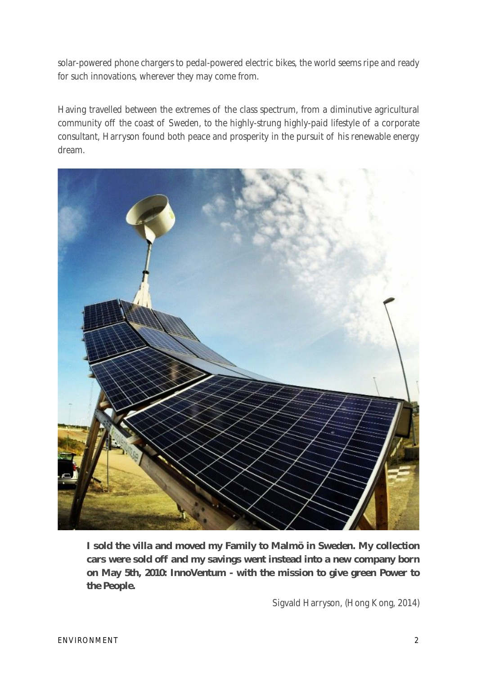solar-powered phone chargers to pedal-powered electric bikes, the world seems ripe and ready for such innovations, wherever they may come from.

Having travelled between the extremes of the class spectrum, from a diminutive agricultural community off the coast of Sweden, to the highly-strung highly-paid lifestyle of a corporate consultant, Harryson found both peace and prosperity in the pursuit of his renewable energy dream.



**I sold the villa and moved my Family to Malmö in Sweden. My collection cars were sold off and my savings went instead into a new company born on May 5th, 2010: InnoVentum - with the mission to give green Power to the People.**

Sigvald Harryson, (Hong Kong, 2014)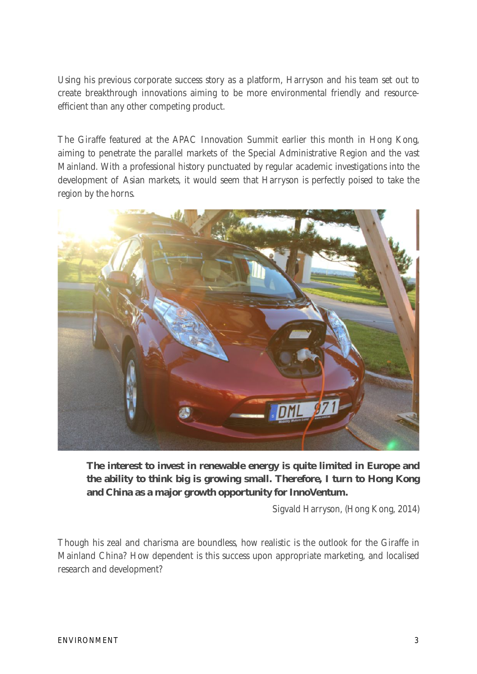Using his previous corporate success story as a platform, Harryson and his team set out to create breakthrough innovations aiming to be more environmental friendly and resourceefficient than any other competing product.

The Giraffe featured at the APAC Innovation Summit earlier this month in Hong Kong, aiming to penetrate the parallel markets of the Special Administrative Region and the vast Mainland. With a professional history punctuated by regular academic investigations into the development of Asian markets, it would seem that Harryson is perfectly poised to take the region by the horns.



**The interest to invest in renewable energy is quite limited in Europe and the ability to think big is growing small. Therefore, I turn to Hong Kong and China as a major growth opportunity for InnoVentum.**

Sigvald Harryson, (Hong Kong, 2014)

Though his zeal and charisma are boundless, how realistic is the outlook for the Giraffe in Mainland China? How dependent is this success upon appropriate marketing, and localised research and development?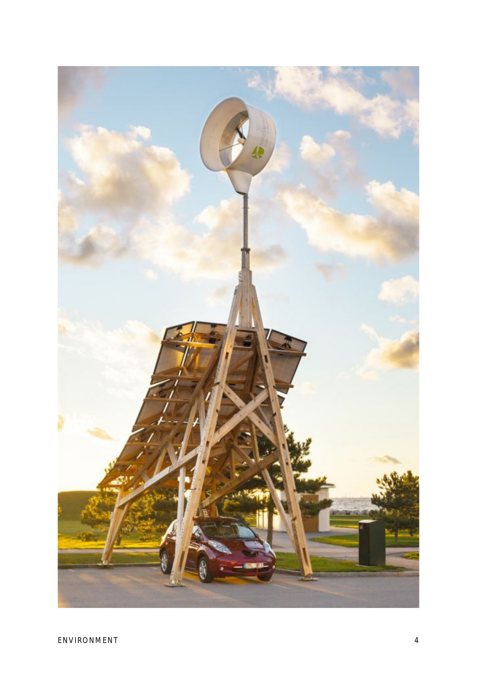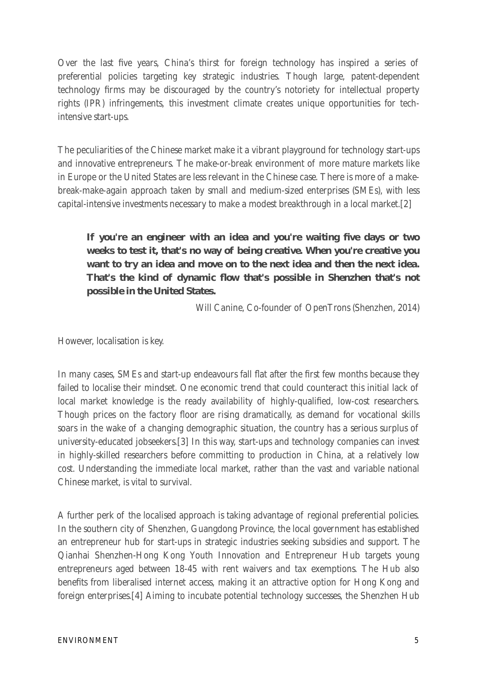Over the last five years, China's thirst for foreign technology has inspired a series of preferential policies targeting key strategic industries. Though large, patent-dependent technology firms may be discouraged by the country's notoriety for intellectual property rights (IPR) infringements, this investment climate creates unique opportunities for techintensive start-ups.

The peculiarities of the Chinese market make it a vibrant playground for technology start-ups and innovative entrepreneurs. The make-or-break environment of more mature markets like in Europe or the United States are less relevant in the Chinese case. There is more of a makebreak-make-again approach taken by small and medium-sized enterprises (SMEs), with less capital-intensive investments necessary to make a modest breakthrough in a local market.[2]

**If you're an engineer with an idea and you're waiting five days or two weeks to test it, that's no way of being creative. When you're creative you want to try an idea and move on to the next idea and then the next idea. That's the kind of dynamic flow that's possible in Shenzhen that's not possible in the United States.**

Will Canine, Co-founder of OpenTrons (Shenzhen, 2014)

However, localisation is key.

In many cases, SMEs and start-up endeavours fall flat after the first few months because they failed to localise their mindset. One economic trend that could counteract this initial lack of local market knowledge is the ready availability of highly-qualified, low-cost researchers. Though prices on the factory floor are rising dramatically, as demand for vocational skills soars in the wake of a changing demographic situation, the country has a serious surplus of university-educated jobseekers.[3] In this way, start-ups and technology companies can invest in highly-skilled researchers before committing to production in China, at a relatively low cost. Understanding the immediate local market, rather than the vast and variable national Chinese market, is vital to survival.

A further perk of the localised approach is taking advantage of regional preferential policies. In the southern city of Shenzhen, Guangdong Province, the local government has established an entrepreneur hub for start-ups in strategic industries seeking subsidies and support. The Qianhai Shenzhen-Hong Kong Youth Innovation and Entrepreneur Hub targets young entrepreneurs aged between 18-45 with rent waivers and tax exemptions. The Hub also benefits from liberalised internet access, making it an attractive option for Hong Kong and foreign enterprises.[4] Aiming to incubate potential technology successes, the Shenzhen Hub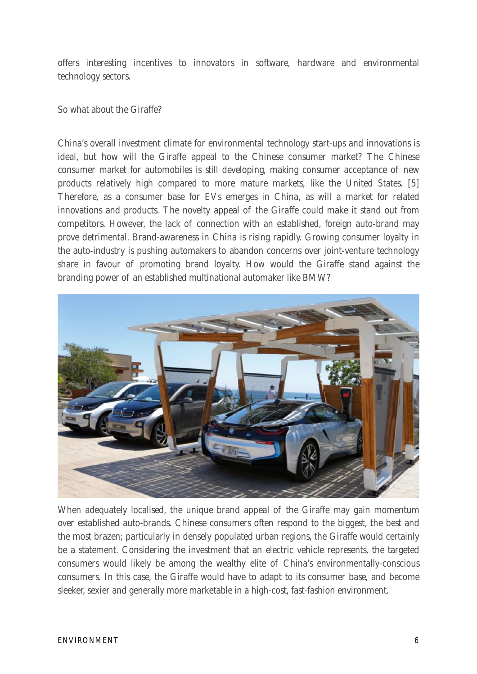offers interesting incentives to innovators in software, hardware and environmental technology sectors.

## So what about the Giraffe?

China's overall investment climate for environmental technology start-ups and innovations is ideal, but how will the Giraffe appeal to the Chinese consumer market? The Chinese consumer market for automobiles is still developing, making consumer acceptance of new products relatively high compared to more mature markets, like the United States. [5] Therefore, as a consumer base for EVs emerges in China, as will a market for related innovations and products. The novelty appeal of the Giraffe could make it stand out from competitors. However, the lack of connection with an established, foreign auto-brand may prove detrimental. Brand-awareness in China is rising rapidly. Growing consumer loyalty in the auto-industry is pushing automakers to abandon concerns over joint-venture technology share in favour of promoting brand loyalty. How would the Giraffe stand against the branding power of an established multinational automaker like BMW?



When adequately localised, the unique brand appeal of the Giraffe may gain momentum over established auto-brands. Chinese consumers often respond to the biggest, the best and the most brazen; particularly in densely populated urban regions, the Giraffe would certainly be a statement. Considering the investment that an electric vehicle represents, the targeted consumers would likely be among the wealthy elite of China's environmentally-conscious consumers. In this case, the Giraffe would have to adapt to its consumer base, and become sleeker, sexier and generally more marketable in a high-cost, fast-fashion environment.